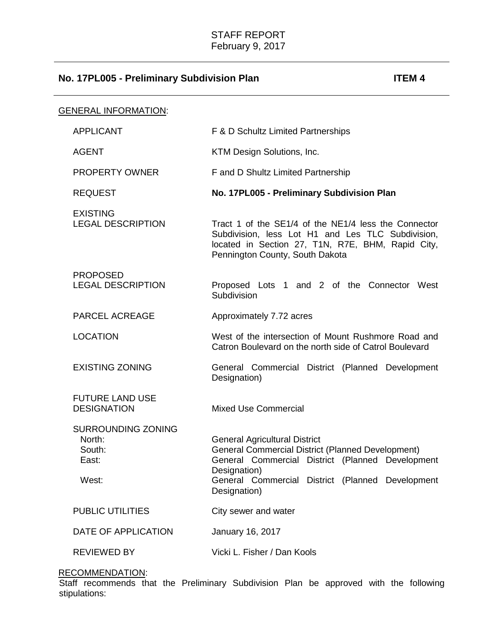| <b>GENERAL INFORMATION:</b>                                     |                                                                                                                                                                                                                                          |
|-----------------------------------------------------------------|------------------------------------------------------------------------------------------------------------------------------------------------------------------------------------------------------------------------------------------|
| <b>APPLICANT</b>                                                | F & D Schultz Limited Partnerships                                                                                                                                                                                                       |
| <b>AGENT</b>                                                    | KTM Design Solutions, Inc.                                                                                                                                                                                                               |
| <b>PROPERTY OWNER</b>                                           | F and D Shultz Limited Partnership                                                                                                                                                                                                       |
| <b>REQUEST</b>                                                  | No. 17PL005 - Preliminary Subdivision Plan                                                                                                                                                                                               |
| <b>EXISTING</b><br><b>LEGAL DESCRIPTION</b>                     | Tract 1 of the SE1/4 of the NE1/4 less the Connector<br>Subdivision, less Lot H1 and Les TLC Subdivision,<br>located in Section 27, T1N, R7E, BHM, Rapid City,<br>Pennington County, South Dakota                                        |
| <b>PROPOSED</b><br><b>LEGAL DESCRIPTION</b>                     | Proposed Lots 1 and 2 of the Connector West<br>Subdivision                                                                                                                                                                               |
| <b>PARCEL ACREAGE</b>                                           | Approximately 7.72 acres                                                                                                                                                                                                                 |
| <b>LOCATION</b>                                                 | West of the intersection of Mount Rushmore Road and<br>Catron Boulevard on the north side of Catrol Boulevard                                                                                                                            |
| <b>EXISTING ZONING</b>                                          | General Commercial District (Planned Development<br>Designation)                                                                                                                                                                         |
| <b>FUTURE LAND USE</b><br><b>DESIGNATION</b>                    | <b>Mixed Use Commercial</b>                                                                                                                                                                                                              |
| <b>SURROUNDING ZONING</b><br>North:<br>South:<br>East:<br>West: | <b>General Agricultural District</b><br><b>General Commercial District (Planned Development)</b><br>General Commercial District (Planned Development<br>Designation)<br>General Commercial District (Planned Development<br>Designation) |
| <b>PUBLIC UTILITIES</b>                                         | City sewer and water                                                                                                                                                                                                                     |
| DATE OF APPLICATION                                             | January 16, 2017                                                                                                                                                                                                                         |
| <b>REVIEWED BY</b>                                              | Vicki L. Fisher / Dan Kools                                                                                                                                                                                                              |

#### RECOMMENDATION:

Staff recommends that the Preliminary Subdivision Plan be approved with the following stipulations: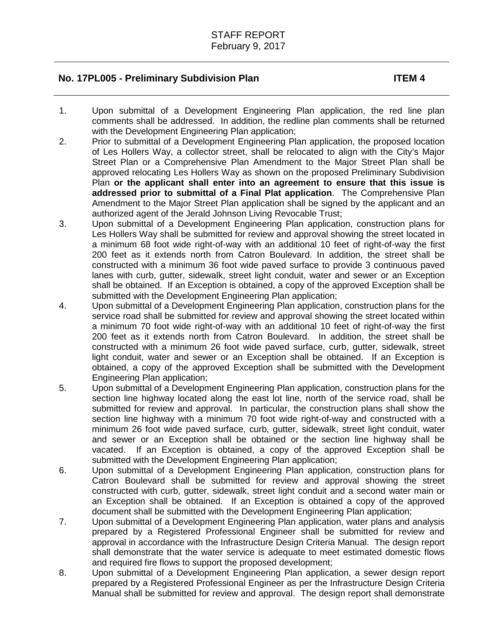- 1. Upon submittal of a Development Engineering Plan application, the red line plan comments shall be addressed. In addition, the redline plan comments shall be returned with the Development Engineering Plan application;
- 2. Prior to submittal of a Development Engineering Plan application, the proposed location of Les Hollers Way, a collector street, shall be relocated to align with the City's Major Street Plan or a Comprehensive Plan Amendment to the Major Street Plan shall be approved relocating Les Hollers Way as shown on the proposed Preliminary Subdivision Plan **or the applicant shall enter into an agreement to ensure that this issue is addressed prior to submittal of a Final Plat application**. The Comprehensive Plan Amendment to the Major Street Plan application shall be signed by the applicant and an authorized agent of the Jerald Johnson Living Revocable Trust;
- 3. Upon submittal of a Development Engineering Plan application, construction plans for Les Hollers Way shall be submitted for review and approval showing the street located in a minimum 68 foot wide right-of-way with an additional 10 feet of right-of-way the first 200 feet as it extends north from Catron Boulevard. In addition, the street shall be constructed with a minimum 36 foot wide paved surface to provide 3 continuous paved lanes with curb, gutter, sidewalk, street light conduit, water and sewer or an Exception shall be obtained. If an Exception is obtained, a copy of the approved Exception shall be submitted with the Development Engineering Plan application;
- 4. Upon submittal of a Development Engineering Plan application, construction plans for the service road shall be submitted for review and approval showing the street located within a minimum 70 foot wide right-of-way with an additional 10 feet of right-of-way the first 200 feet as it extends north from Catron Boulevard. In addition, the street shall be constructed with a minimum 26 foot wide paved surface, curb, gutter, sidewalk, street light conduit, water and sewer or an Exception shall be obtained. If an Exception is obtained, a copy of the approved Exception shall be submitted with the Development Engineering Plan application;
- 5. Upon submittal of a Development Engineering Plan application, construction plans for the section line highway located along the east lot line, north of the service road, shall be submitted for review and approval. In particular, the construction plans shall show the section line highway with a minimum 70 foot wide right-of-way and constructed with a minimum 26 foot wide paved surface, curb, gutter, sidewalk, street light conduit, water and sewer or an Exception shall be obtained or the section line highway shall be vacated. If an Exception is obtained, a copy of the approved Exception shall be submitted with the Development Engineering Plan application;
- 6. Upon submittal of a Development Engineering Plan application, construction plans for Catron Boulevard shall be submitted for review and approval showing the street constructed with curb, gutter, sidewalk, street light conduit and a second water main or an Exception shall be obtained. If an Exception is obtained a copy of the approved document shall be submitted with the Development Engineering Plan application;
- 7. Upon submittal of a Development Engineering Plan application, water plans and analysis prepared by a Registered Professional Engineer shall be submitted for review and approval in accordance with the Infrastructure Design Criteria Manual. The design report shall demonstrate that the water service is adequate to meet estimated domestic flows and required fire flows to support the proposed development;
- 8. Upon submittal of a Development Engineering Plan application, a sewer design report prepared by a Registered Professional Engineer as per the Infrastructure Design Criteria Manual shall be submitted for review and approval. The design report shall demonstrate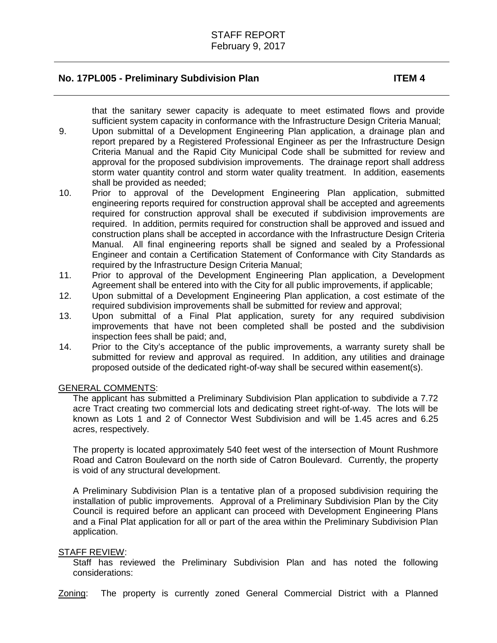that the sanitary sewer capacity is adequate to meet estimated flows and provide sufficient system capacity in conformance with the Infrastructure Design Criteria Manual;

- 9. Upon submittal of a Development Engineering Plan application, a drainage plan and report prepared by a Registered Professional Engineer as per the Infrastructure Design Criteria Manual and the Rapid City Municipal Code shall be submitted for review and approval for the proposed subdivision improvements. The drainage report shall address storm water quantity control and storm water quality treatment. In addition, easements shall be provided as needed;
- 10. Prior to approval of the Development Engineering Plan application, submitted engineering reports required for construction approval shall be accepted and agreements required for construction approval shall be executed if subdivision improvements are required. In addition, permits required for construction shall be approved and issued and construction plans shall be accepted in accordance with the Infrastructure Design Criteria Manual. All final engineering reports shall be signed and sealed by a Professional Engineer and contain a Certification Statement of Conformance with City Standards as required by the Infrastructure Design Criteria Manual;
- 11. Prior to approval of the Development Engineering Plan application, a Development Agreement shall be entered into with the City for all public improvements, if applicable;
- 12. Upon submittal of a Development Engineering Plan application, a cost estimate of the required subdivision improvements shall be submitted for review and approval;
- 13. Upon submittal of a Final Plat application, surety for any required subdivision improvements that have not been completed shall be posted and the subdivision inspection fees shall be paid; and,
- 14. Prior to the City's acceptance of the public improvements, a warranty surety shall be submitted for review and approval as required. In addition, any utilities and drainage proposed outside of the dedicated right-of-way shall be secured within easement(s).

#### GENERAL COMMENTS:

The applicant has submitted a Preliminary Subdivision Plan application to subdivide a 7.72 acre Tract creating two commercial lots and dedicating street right-of-way. The lots will be known as Lots 1 and 2 of Connector West Subdivision and will be 1.45 acres and 6.25 acres, respectively.

The property is located approximately 540 feet west of the intersection of Mount Rushmore Road and Catron Boulevard on the north side of Catron Boulevard. Currently, the property is void of any structural development.

A Preliminary Subdivision Plan is a tentative plan of a proposed subdivision requiring the installation of public improvements. Approval of a Preliminary Subdivision Plan by the City Council is required before an applicant can proceed with Development Engineering Plans and a Final Plat application for all or part of the area within the Preliminary Subdivision Plan application.

### STAFF REVIEW:

Staff has reviewed the Preliminary Subdivision Plan and has noted the following considerations:

Zoning: The property is currently zoned General Commercial District with a Planned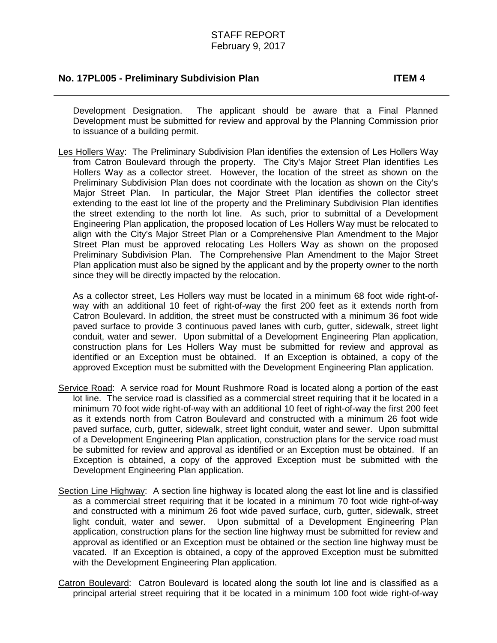Development Designation. The applicant should be aware that a Final Planned Development must be submitted for review and approval by the Planning Commission prior to issuance of a building permit.

Les Hollers Way: The Preliminary Subdivision Plan identifies the extension of Les Hollers Way from Catron Boulevard through the property. The City's Major Street Plan identifies Les Hollers Way as a collector street. However, the location of the street as shown on the Preliminary Subdivision Plan does not coordinate with the location as shown on the City's Major Street Plan. In particular, the Major Street Plan identifies the collector street extending to the east lot line of the property and the Preliminary Subdivision Plan identifies the street extending to the north lot line. As such, prior to submittal of a Development Engineering Plan application, the proposed location of Les Hollers Way must be relocated to align with the City's Major Street Plan or a Comprehensive Plan Amendment to the Major Street Plan must be approved relocating Les Hollers Way as shown on the proposed Preliminary Subdivision Plan. The Comprehensive Plan Amendment to the Major Street Plan application must also be signed by the applicant and by the property owner to the north since they will be directly impacted by the relocation.

As a collector street, Les Hollers way must be located in a minimum 68 foot wide right-ofway with an additional 10 feet of right-of-way the first 200 feet as it extends north from Catron Boulevard. In addition, the street must be constructed with a minimum 36 foot wide paved surface to provide 3 continuous paved lanes with curb, gutter, sidewalk, street light conduit, water and sewer. Upon submittal of a Development Engineering Plan application, construction plans for Les Hollers Way must be submitted for review and approval as identified or an Exception must be obtained. If an Exception is obtained, a copy of the approved Exception must be submitted with the Development Engineering Plan application.

- Service Road: A service road for Mount Rushmore Road is located along a portion of the east lot line. The service road is classified as a commercial street requiring that it be located in a minimum 70 foot wide right-of-way with an additional 10 feet of right-of-way the first 200 feet as it extends north from Catron Boulevard and constructed with a minimum 26 foot wide paved surface, curb, gutter, sidewalk, street light conduit, water and sewer. Upon submittal of a Development Engineering Plan application, construction plans for the service road must be submitted for review and approval as identified or an Exception must be obtained. If an Exception is obtained, a copy of the approved Exception must be submitted with the Development Engineering Plan application.
- Section Line Highway: A section line highway is located along the east lot line and is classified as a commercial street requiring that it be located in a minimum 70 foot wide right-of-way and constructed with a minimum 26 foot wide paved surface, curb, gutter, sidewalk, street light conduit, water and sewer. Upon submittal of a Development Engineering Plan application, construction plans for the section line highway must be submitted for review and approval as identified or an Exception must be obtained or the section line highway must be vacated. If an Exception is obtained, a copy of the approved Exception must be submitted with the Development Engineering Plan application.
- Catron Boulevard: Catron Boulevard is located along the south lot line and is classified as a principal arterial street requiring that it be located in a minimum 100 foot wide right-of-way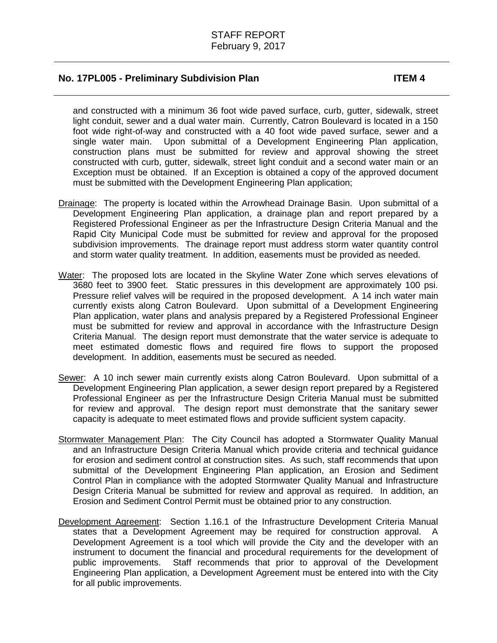and constructed with a minimum 36 foot wide paved surface, curb, gutter, sidewalk, street light conduit, sewer and a dual water main. Currently, Catron Boulevard is located in a 150 foot wide right-of-way and constructed with a 40 foot wide paved surface, sewer and a single water main. Upon submittal of a Development Engineering Plan application, construction plans must be submitted for review and approval showing the street constructed with curb, gutter, sidewalk, street light conduit and a second water main or an Exception must be obtained. If an Exception is obtained a copy of the approved document must be submitted with the Development Engineering Plan application;

- Drainage: The property is located within the Arrowhead Drainage Basin. Upon submittal of a Development Engineering Plan application, a drainage plan and report prepared by a Registered Professional Engineer as per the Infrastructure Design Criteria Manual and the Rapid City Municipal Code must be submitted for review and approval for the proposed subdivision improvements. The drainage report must address storm water quantity control and storm water quality treatment. In addition, easements must be provided as needed.
- Water: The proposed lots are located in the Skyline Water Zone which serves elevations of 3680 feet to 3900 feet. Static pressures in this development are approximately 100 psi. Pressure relief valves will be required in the proposed development. A 14 inch water main currently exists along Catron Boulevard. Upon submittal of a Development Engineering Plan application, water plans and analysis prepared by a Registered Professional Engineer must be submitted for review and approval in accordance with the Infrastructure Design Criteria Manual. The design report must demonstrate that the water service is adequate to meet estimated domestic flows and required fire flows to support the proposed development. In addition, easements must be secured as needed.
- Sewer: A 10 inch sewer main currently exists along Catron Boulevard. Upon submittal of a Development Engineering Plan application, a sewer design report prepared by a Registered Professional Engineer as per the Infrastructure Design Criteria Manual must be submitted for review and approval. The design report must demonstrate that the sanitary sewer capacity is adequate to meet estimated flows and provide sufficient system capacity.
- Stormwater Management Plan: The City Council has adopted a Stormwater Quality Manual and an Infrastructure Design Criteria Manual which provide criteria and technical guidance for erosion and sediment control at construction sites. As such, staff recommends that upon submittal of the Development Engineering Plan application, an Erosion and Sediment Control Plan in compliance with the adopted Stormwater Quality Manual and Infrastructure Design Criteria Manual be submitted for review and approval as required. In addition, an Erosion and Sediment Control Permit must be obtained prior to any construction.
- Development Agreement: Section 1.16.1 of the Infrastructure Development Criteria Manual states that a Development Agreement may be required for construction approval. A Development Agreement is a tool which will provide the City and the developer with an instrument to document the financial and procedural requirements for the development of public improvements. Staff recommends that prior to approval of the Development Engineering Plan application, a Development Agreement must be entered into with the City for all public improvements.